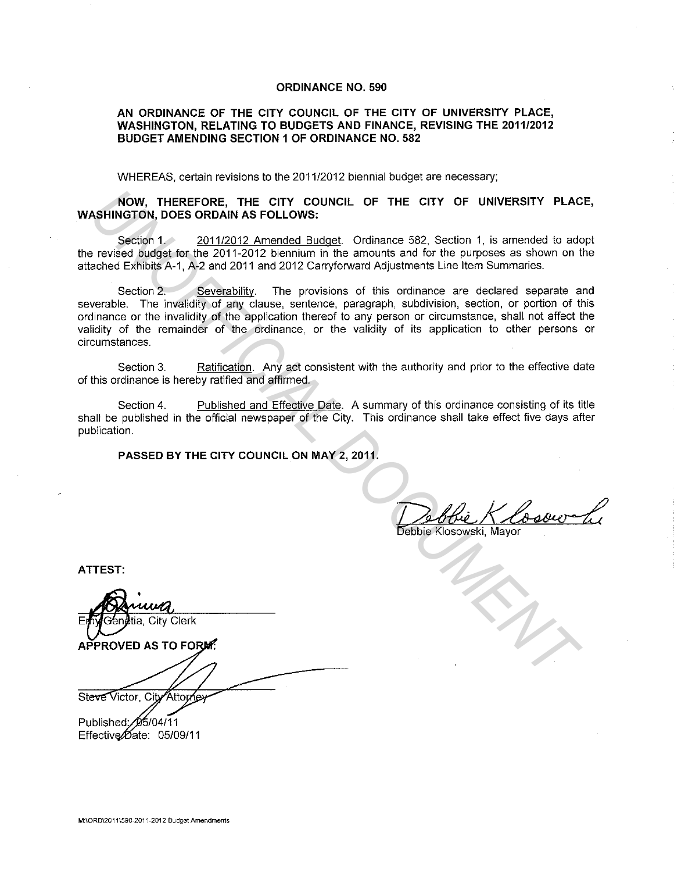### **ORDINANCE NO. 590**

## **AN ORDINANCE OF THE CITY COUNCIL OF THE CITY OF UNIVERSITY PLACE, WASHINGTON, RELATING TO BUDGETS AND FINANCE, REVISING THE 2011/2012 BUDGET AMENDING SECTION 1 OF ORDINANCE NO. 582**

WHEREAS, certain revisions to the 2011/2012 biennial budget are necessary;

# **NOW, THEREFORE, THE CITY COUNCIL OF THE CITY OF UNIVERSITY PLACE, WASHINGTON, DOES ORDAIN AS FOLLOWS:**

Section 1. 2011/2012 Amended Budget. Ordinance 582, Section 1, is amended to adopt the revised budget for the 2011-2012 biennium in the amounts and for the purposes as shown on the attached Exhibits A-1, A-2 and 2011 and 2012 Carryforward Adjustments Line Item Summaries.

Section 2. Severability. The provisions of this ordinance are declared separate and severable. The invalidity of any clause, sentence, paragraph, subdivision, section, or portion of this ordinance or the invalidity of the application thereof to any person or circumstance, shall not affect the validity of the remainder of the ordinance, or the validity of its application to other persons or circumstances. **NOW, THEREFORE, THE CITY COUNCIL OF THE CITY OF UNIVERSITY PLACE<br>
SHINGTON, DOES ORDAIN AS FOLLOWS:**<br>
Section 1, is amended to add<br>
section 1, is amended to add<br>
crossed budget for the 2011-2012 benchman in the amounts an

Section 3. Ratification. Any act consistent with the authority and prior to the effective date of this ordinance is hereby ratified and affirmed.

Section 4. Published and Effective Date. A summary of this ordinance consisting of its title shall be published in the official newspaper of the City. This ordinance shall take effect five days after publication.

**PASSED BY THE CITY COUNCIL ON MAY 2, 2011.** 

Debbie K Cosour Li

**ATTEST:** 

E Steve Victor, City Attor

Published: 05/04/11

Effective $\cancel{\theta}$ ate: 05/09/11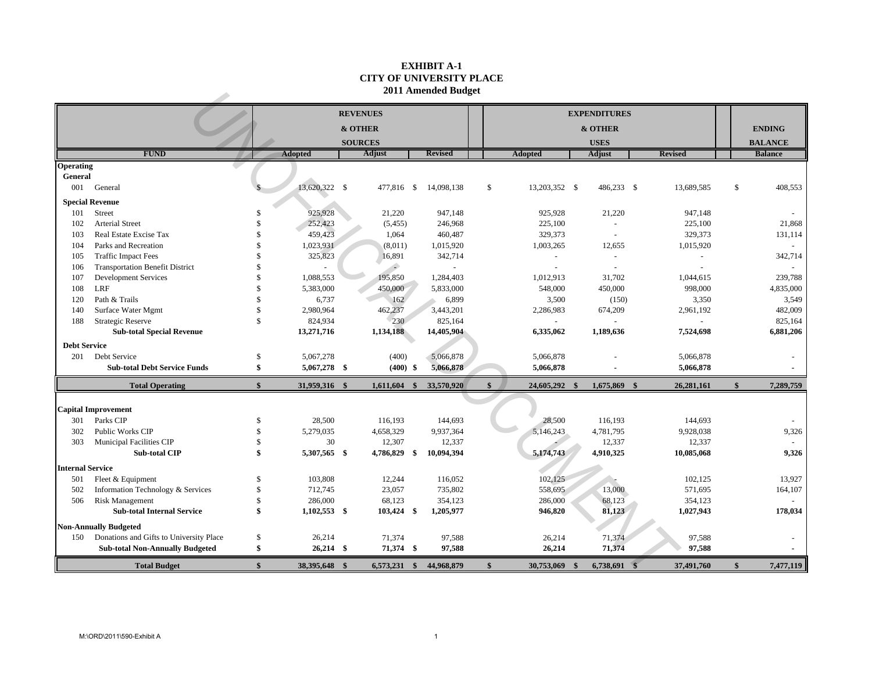#### **EXHIBIT A-1 CITY OF UNIVERSITY PLACE 2011 Amended Budget**

| 2011 Amended Budget     |                                                         |                   |                |  |                        |     |                          |  |                               |  |                     |  |                |               |                |
|-------------------------|---------------------------------------------------------|-------------------|----------------|--|------------------------|-----|--------------------------|--|-------------------------------|--|---------------------|--|----------------|---------------|----------------|
|                         |                                                         |                   |                |  | <b>REVENUES</b>        |     |                          |  |                               |  | <b>EXPENDITURES</b> |  |                |               |                |
|                         |                                                         |                   |                |  | & OTHER                |     |                          |  |                               |  | & OTHER             |  |                |               | <b>ENDING</b>  |
|                         |                                                         |                   |                |  | <b>SOURCES</b>         |     |                          |  |                               |  | <b>USES</b>         |  |                |               | <b>BALANCE</b> |
|                         | <b>FUND</b>                                             |                   | <b>Adopted</b> |  | Adjust                 |     | <b>Revised</b>           |  | <b>Adopted</b>                |  | Adjust              |  | <b>Revised</b> |               | <b>Balance</b> |
| Operating               |                                                         |                   |                |  |                        |     |                          |  |                               |  |                     |  |                |               |                |
| General                 |                                                         |                   |                |  |                        |     |                          |  |                               |  |                     |  |                |               |                |
| 001                     | General                                                 |                   | 13,620,322 \$  |  | 477,816 \$             |     | 14,098,138               |  | \$<br>13,203,352 \$           |  | 486,233 \$          |  | 13,689,585     | $\mathbb{S}$  | 408,553        |
|                         | <b>Special Revenue</b>                                  |                   |                |  |                        |     |                          |  |                               |  |                     |  |                |               |                |
| 101                     | Street                                                  | \$                | 925,928        |  | 21,220                 |     | 947,148                  |  | 925,928                       |  | 21,220              |  | 947,148        |               |                |
| 102                     | Arterial Street                                         | \$                | 252,423        |  | (5, 455)               |     | 246,968                  |  | 225,100                       |  |                     |  | 225,100        |               | 21,868         |
| 103                     | Real Estate Excise Tax                                  | <sup>\$</sup>     | 459,423        |  | 1,064                  |     | 460,487                  |  | 329,373                       |  |                     |  | 329,373        |               | 131,114        |
| 104                     | Parks and Recreation                                    | \$                | 1,023,931      |  | (8,011)                |     | 1,015,920                |  | 1,003,265                     |  | 12,655              |  | 1,015,920      |               |                |
| 105                     | <b>Traffic Impact Fees</b>                              | \$                | 325,823        |  | 16,891                 |     | 342,714                  |  | $\sim$                        |  | $\overline{a}$      |  | $\overline{a}$ |               | 342,714        |
| 106                     | <b>Transportation Benefit District</b>                  | \$                |                |  | ۵                      |     | $\overline{\phantom{a}}$ |  | ÷,                            |  |                     |  |                |               |                |
| 107                     | <b>Development Services</b>                             | \$                | 1,088,553      |  | 195,850                |     | 1,284,403                |  | 1,012,913                     |  | 31,702              |  | 1,044,615      |               | 239,788        |
| 108                     | <b>LRF</b>                                              | $\mathcal{S}$     | 5,383,000      |  | 450,000                |     | 5,833,000                |  | 548,000                       |  | 450,000             |  | 998,000        |               | 4,835,000      |
| 120                     | Path & Trails                                           | \$                | 6,737          |  | 162                    |     | 6,899                    |  | 3,500                         |  | (150)               |  | 3,350          |               | 3,549          |
| 140                     | Surface Water Mgmt                                      | \$                | 2,980,964      |  | 462,237                |     | 3,443,201                |  | 2,286,983                     |  | 674,209             |  | 2,961,192      |               | 482,009        |
| 188                     | <b>Strategic Reserve</b>                                | \$                | 824,934        |  | 230                    |     | 825,164                  |  |                               |  |                     |  |                |               | 825,164        |
|                         | <b>Sub-total Special Revenue</b>                        |                   | 13,271,716     |  | 1,134,188              |     | 14,405,904               |  | 6,335,062                     |  | 1,189,636           |  | 7,524,698      |               | 6,881,206      |
| <b>Debt Service</b>     |                                                         |                   |                |  |                        |     |                          |  |                               |  |                     |  |                |               |                |
| 201                     | Debt Service                                            | \$                | 5,067,278      |  | (400)                  |     | 5,066,878                |  | 5,066,878                     |  |                     |  | 5,066,878      |               |                |
|                         | <b>Sub-total Debt Service Funds</b>                     | \$                | 5,067,278 \$   |  | $(400)$ \$             |     | 5,066,878                |  | 5,066,878                     |  |                     |  | 5,066,878      |               |                |
|                         | <b>Total Operating</b>                                  | $\mathbf{\$}$     | 31,959,316 \$  |  | 1,611,604              | -\$ | 33,570,920               |  | $\mathbf{s}$<br>24,605,292 \$ |  | 1,675,869 \$        |  | 26,281,161     | $\mathbf{s}$  | 7,289,759      |
|                         |                                                         |                   |                |  |                        |     |                          |  |                               |  |                     |  |                |               |                |
|                         | <b>Capital Improvement</b>                              |                   |                |  |                        |     |                          |  |                               |  |                     |  |                |               |                |
| 301                     | Parks CIP                                               | \$                | 28,500         |  | 116,193                |     | 144,693                  |  | 28,500                        |  | 116,193             |  | 144,693        |               |                |
| 302                     | Public Works CIP                                        | \$<br>$\mathbf S$ | 5,279,035      |  | 4,658,329              |     | 9,937,364                |  | 5,146,243                     |  | 4,781,795           |  | 9,928,038      |               | 9,326          |
| 303                     | <b>Municipal Facilities CIP</b><br><b>Sub-total CIP</b> | \$                | 30             |  | 12,307<br>4,786,829 \$ |     | 12,337<br>10,094,394     |  | 5,174,743                     |  | 12,337<br>4,910,325 |  | 12,337         |               | 9,326          |
|                         |                                                         |                   | 5,307,565 \$   |  |                        |     |                          |  |                               |  |                     |  | 10,085,068     |               |                |
| <b>Internal Service</b> |                                                         |                   |                |  |                        |     |                          |  |                               |  |                     |  |                |               |                |
| 501                     | Fleet & Equipment                                       | \$                | 103,808        |  | 12,244                 |     | 116,052                  |  | 102,125                       |  |                     |  | 102,125        |               | 13,927         |
| 502                     | Information Technology & Services                       | \$                | 712,745        |  | 23,057                 |     | 735,802                  |  | 558,695                       |  | 13,000              |  | 571,695        |               | 164,107        |
| 506                     | <b>Risk Management</b>                                  | \$                | 286,000        |  | 68,123                 |     | 354,123                  |  | 286,000                       |  | 68,123              |  | 354,123        |               |                |
|                         | <b>Sub-total Internal Service</b>                       | \$                | $1,102,553$ \$ |  | 103,424 \$             |     | 1,205,977                |  | 946,820                       |  | 81,123              |  | 1,027,943      |               | 178,034        |
|                         | <b>Non-Annually Budgeted</b>                            |                   |                |  |                        |     |                          |  |                               |  |                     |  |                |               |                |
| 150                     | Donations and Gifts to University Place                 | \$                | 26,214         |  | 71,374                 |     | 97,588                   |  | 26,214                        |  | 71,374              |  | 97,588         |               |                |
|                         | <b>Sub-total Non-Annually Budgeted</b>                  | \$                | $26,214$ \$    |  | 71,374 \$              |     | 97,588                   |  | 26,214                        |  | 71,374              |  | 97,588         |               |                |
|                         | <b>Total Budget</b>                                     | $\mathbf{\$}$     | 38,395,648 \$  |  | 6,573,231              | -\$ | 44,968,879               |  | $\mathbf{s}$<br>30,753,069    |  | 6,738,691           |  | 37,491,760     | $\mathbf{\$}$ | 7,477,119      |
|                         |                                                         |                   |                |  |                        |     |                          |  |                               |  |                     |  |                |               |                |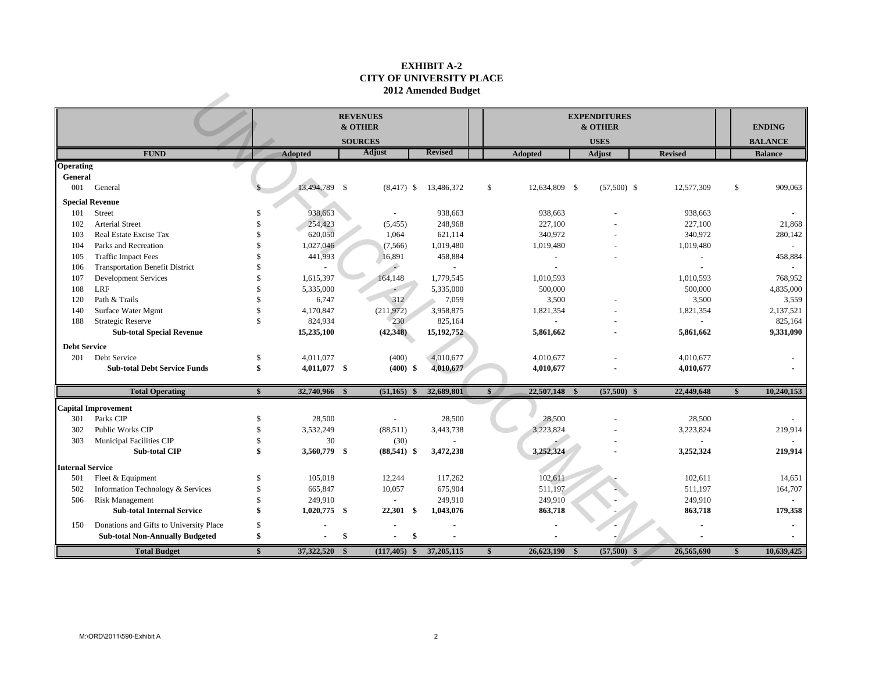### **EXHIBIT A-2 CITY OF UNIVERSITY PLACE 2012 Amended Budget**

|                         |                                         |  |                                |    |                          |                |                                |  |               | 2012 Amended Budget |              |                |  |  |  |  |  |  |  |  |  |  |
|-------------------------|-----------------------------------------|--|--------------------------------|----|--------------------------|----------------|--------------------------------|--|---------------|---------------------|--------------|----------------|--|--|--|--|--|--|--|--|--|--|
|                         | <b>REVENUES</b><br>& OTHER              |  |                                |    |                          |                | <b>EXPENDITURES</b><br>& OTHER |  |               |                     |              | <b>ENDING</b>  |  |  |  |  |  |  |  |  |  |  |
|                         |                                         |  |                                |    | <b>SOURCES</b>           |                |                                |  | <b>USES</b>   |                     |              | <b>BALANCE</b> |  |  |  |  |  |  |  |  |  |  |
|                         | <b>FUND</b>                             |  | Adopted                        |    | Adjust                   | <b>Revised</b> | Adopted                        |  | Adjust        | <b>Revised</b>      |              | <b>Balance</b> |  |  |  |  |  |  |  |  |  |  |
| <b>Operating</b>        |                                         |  |                                |    |                          |                |                                |  |               |                     |              |                |  |  |  |  |  |  |  |  |  |  |
| General                 |                                         |  |                                |    |                          |                |                                |  |               |                     |              |                |  |  |  |  |  |  |  |  |  |  |
| 001                     | General                                 |  | 13,494,789 \$                  |    | $(8,417)$ \$             | 13,486,372     | $\mathbb{S}$<br>12,634,809 \$  |  | $(57,500)$ \$ | 12,577,309          | \$           | 909,063        |  |  |  |  |  |  |  |  |  |  |
|                         | <b>Special Revenue</b>                  |  |                                |    |                          |                |                                |  |               |                     |              |                |  |  |  |  |  |  |  |  |  |  |
| 101                     | <b>Street</b>                           |  | 938,663<br>-\$                 |    | $\overline{\phantom{a}}$ | 938,663        | 938,663                        |  |               | 938,663             |              |                |  |  |  |  |  |  |  |  |  |  |
| 102                     | Arterial Street                         |  | 254,423<br>\$                  |    | (5,455)                  | 248,968        | 227,100                        |  |               | 227,100             |              | 21,868         |  |  |  |  |  |  |  |  |  |  |
| 103                     | Real Estate Excise Tax                  |  | 620,050<br><sup>\$</sup>       |    | 1,064                    | 621,114        | 340,972                        |  |               | 340,972             |              | 280,142        |  |  |  |  |  |  |  |  |  |  |
| 104                     | Parks and Recreation                    |  | \$<br>1,027,046                |    | (7, 566)                 | 1,019,480      | 1,019,480                      |  |               | 1,019,480           |              |                |  |  |  |  |  |  |  |  |  |  |
| 105                     | <b>Traffic Impact Fees</b>              |  | \$<br>441,993                  |    | 16,891                   | 458,884        | $\overline{a}$                 |  |               | $\sim$              |              | 458,884        |  |  |  |  |  |  |  |  |  |  |
| 106                     | <b>Transportation Benefit District</b>  |  | \$                             |    | ۰                        | $\sim$         |                                |  |               |                     |              |                |  |  |  |  |  |  |  |  |  |  |
| 107                     | <b>Development Services</b>             |  | \$<br>1,615,397                |    | 164,148                  | 1,779,545      | 1,010,593                      |  |               | 1,010,593           |              | 768,952        |  |  |  |  |  |  |  |  |  |  |
| 108                     | LRF                                     |  | \$<br>5,335,000                |    |                          | 5,335,000      | 500,000                        |  |               | 500,000             |              | 4,835,000      |  |  |  |  |  |  |  |  |  |  |
| 120                     | Path & Trails                           |  | \$<br>6,747                    |    | 312                      | 7,059          | 3,500                          |  |               | 3,500               |              | 3,559          |  |  |  |  |  |  |  |  |  |  |
| 140                     | Surface Water Mgmt                      |  | $\mathcal{S}$<br>4,170,847     |    | (211, 972)               | 3,958,875      | 1,821,354                      |  |               | 1,821,354           |              | 2,137,521      |  |  |  |  |  |  |  |  |  |  |
| 188                     | <b>Strategic Reserve</b>                |  | $\mathcal{S}$<br>824,934       |    | 230                      | 825,164        |                                |  |               |                     |              | 825,164        |  |  |  |  |  |  |  |  |  |  |
|                         | <b>Sub-total Special Revenue</b>        |  | 15,235,100                     |    | (42,348)                 | 15, 192, 752   | 5,861,662                      |  |               | 5,861,662           |              | 9,331,090      |  |  |  |  |  |  |  |  |  |  |
| <b>Debt Service</b>     |                                         |  |                                |    |                          |                |                                |  |               |                     |              |                |  |  |  |  |  |  |  |  |  |  |
| 201                     | Debt Service                            |  | \$<br>4.011.077                |    | (400)                    | 4,010,677      | 4,010,677                      |  |               | 4,010,677           |              |                |  |  |  |  |  |  |  |  |  |  |
|                         | <b>Sub-total Debt Service Funds</b>     |  | \$<br>4,011,077 \$             |    | $(400)$ \$               | 4,010,677      | 4,010,677                      |  |               | 4,010,677           |              |                |  |  |  |  |  |  |  |  |  |  |
|                         |                                         |  |                                |    |                          |                |                                |  |               |                     |              |                |  |  |  |  |  |  |  |  |  |  |
|                         | <b>Total Operating</b>                  |  | 32,740,966 \$<br>$\mathbf{\$}$ |    | $(51,165)$ \$            | 32,689,801     | 22,507,148 \$<br>\$            |  | $(57,500)$ \$ | 22,449,648          | \$           | 10,240,153     |  |  |  |  |  |  |  |  |  |  |
|                         | <b>Capital Improvement</b>              |  |                                |    |                          |                |                                |  |               |                     |              |                |  |  |  |  |  |  |  |  |  |  |
| 301                     | Parks CIP                               |  | $\mathbb{S}$<br>28,500         |    |                          | 28,500         | 28,500                         |  |               | 28,500              |              |                |  |  |  |  |  |  |  |  |  |  |
| 302                     | Public Works CIP                        |  | $\mathbb{S}$<br>3,532,249      |    | (88, 511)                | 3,443,738      | 3,223,824                      |  |               | 3,223,824           |              | 219,914        |  |  |  |  |  |  |  |  |  |  |
| 303                     | Municipal Facilities CIP                |  | \$<br>30                       |    | (30)                     |                |                                |  |               |                     |              |                |  |  |  |  |  |  |  |  |  |  |
|                         | <b>Sub-total CIP</b>                    |  | \$<br>3,560,779 \$             |    | $(88,541)$ \$            | 3,472,238      | 3,252,324                      |  |               | 3,252,324           |              | 219,914        |  |  |  |  |  |  |  |  |  |  |
| <b>Internal Service</b> |                                         |  |                                |    |                          |                |                                |  |               |                     |              |                |  |  |  |  |  |  |  |  |  |  |
| 501                     | Fleet & Equipment                       |  | 105,018<br>\$                  |    | 12,244                   | 117,262        | 102,611                        |  |               | 102,611             |              | 14,651         |  |  |  |  |  |  |  |  |  |  |
| 502                     | Information Technology & Services       |  | \$<br>665,847                  |    | 10,057                   | 675,904        | 511,197                        |  |               | 511,197             |              | 164,707        |  |  |  |  |  |  |  |  |  |  |
| 506                     | <b>Risk Management</b>                  |  | $\mathbb{S}$<br>249,910        |    | $\sim$                   | 249,910        | 249,910                        |  |               | 249,910             |              | $\mathbf{r}$   |  |  |  |  |  |  |  |  |  |  |
|                         | <b>Sub-total Internal Service</b>       |  | \$<br>$1,020,775$ \$           |    | $22,301$ \$              | 1,043,076      | 863,718                        |  |               | 863,718             |              | 179,358        |  |  |  |  |  |  |  |  |  |  |
| 150                     | Donations and Gifts to University Place |  | $\mathcal{S}$                  |    |                          |                |                                |  |               |                     |              |                |  |  |  |  |  |  |  |  |  |  |
|                         | <b>Sub-total Non-Annually Budgeted</b>  |  | \$                             | \$ | \$                       |                |                                |  |               |                     |              |                |  |  |  |  |  |  |  |  |  |  |
|                         | <b>Total Budget</b>                     |  | 37,322,520 \$<br>$\mathbf{\$}$ |    | $(117, 405)$ \$          | 37,205,115     | $26,623,190$ \$<br>\$          |  | $(57,500)$ \$ | 26,565,690          | $\mathbf{s}$ | 10,639,425     |  |  |  |  |  |  |  |  |  |  |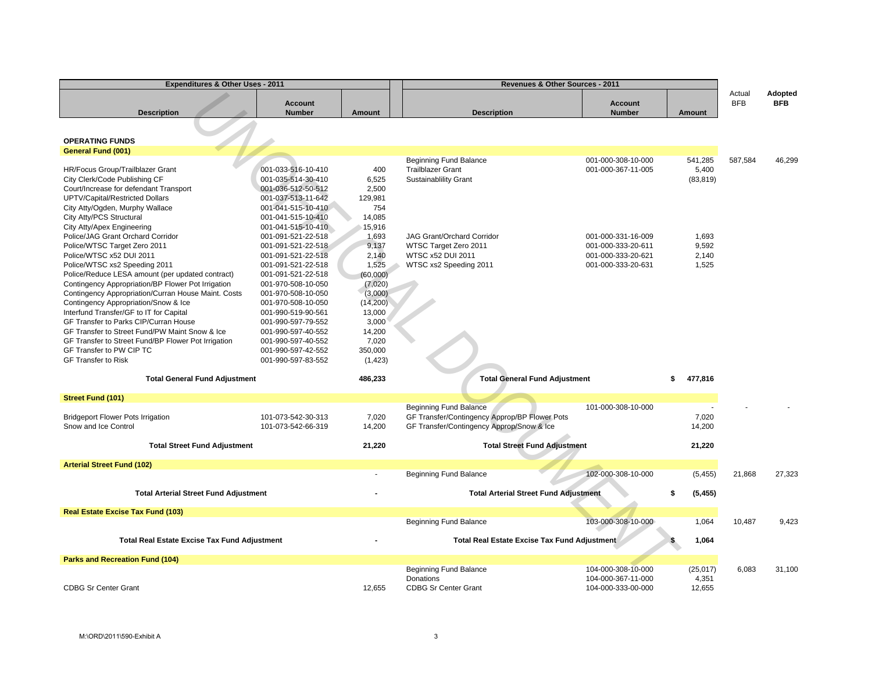| Expenditures & Other Uses - 2011                                                                                                                                                                                                                                                                                                                                                                                                                          |                                                                                                                                                                                                                                                |                                                                                                             | Revenues & Other Sources - 2011                                                                                             |                                                                                      |                                  |                      |                              |
|-----------------------------------------------------------------------------------------------------------------------------------------------------------------------------------------------------------------------------------------------------------------------------------------------------------------------------------------------------------------------------------------------------------------------------------------------------------|------------------------------------------------------------------------------------------------------------------------------------------------------------------------------------------------------------------------------------------------|-------------------------------------------------------------------------------------------------------------|-----------------------------------------------------------------------------------------------------------------------------|--------------------------------------------------------------------------------------|----------------------------------|----------------------|------------------------------|
| <b>Description</b>                                                                                                                                                                                                                                                                                                                                                                                                                                        | <b>Account</b><br><b>Number</b>                                                                                                                                                                                                                | <b>Amount</b>                                                                                               | <b>Description</b>                                                                                                          | <b>Account</b><br><b>Number</b>                                                      | Amount                           | Actual<br><b>BFB</b> | <b>Adopted</b><br><b>BFB</b> |
| <b>OPERATING FUNDS</b>                                                                                                                                                                                                                                                                                                                                                                                                                                    |                                                                                                                                                                                                                                                |                                                                                                             |                                                                                                                             |                                                                                      |                                  |                      |                              |
| <b>General Fund (001)</b>                                                                                                                                                                                                                                                                                                                                                                                                                                 |                                                                                                                                                                                                                                                |                                                                                                             |                                                                                                                             |                                                                                      |                                  |                      |                              |
| HR/Focus Group/Trailblazer Grant<br>City Clerk/Code Publishing CF<br>Court/Increase for defendant Transport<br>UPTV/Capital/Restricted Dollars<br>City Atty/Ogden, Murphy Wallace<br>City Atty/PCS Structural                                                                                                                                                                                                                                             | 001-033-516-10-410<br>001-035-514-30-410<br>001-036-512-50-512<br>001-037-513-11-642<br>001-041-515-10-410<br>001-041-515-10-410                                                                                                               | 400<br>6,525<br>2,500<br>129,981<br>754<br>14,085                                                           | <b>Beginning Fund Balance</b><br><b>Trailblazer Grant</b><br><b>Sustainablility Grant</b>                                   | 001-000-308-10-000<br>001-000-367-11-005                                             | 541,285<br>5,400<br>(83, 819)    | 587,584              | 46,299                       |
| City Atty/Apex Engineering<br>Police/JAG Grant Orchard Corridor<br>Police/WTSC Target Zero 2011<br>Police/WTSC x52 DUI 2011<br>Police/WTSC xs2 Speeding 2011<br>Police/Reduce LESA amount (per updated contract)<br>Contingency Appropriation/BP Flower Pot Irrigation<br>Contingency Appropriation/Curran House Maint. Costs<br>Contingency Appropriation/Snow & Ice<br>Interfund Transfer/GF to IT for Capital<br>GF Transfer to Parks CIP/Curran House | 001-041-515-10-410<br>001-091-521-22-518<br>001-091-521-22-518<br>001-091-521-22-518<br>001-091-521-22-518<br>001-091-521-22-518<br>001-970-508-10-050<br>001-970-508-10-050<br>001-970-508-10-050<br>001-990-519-90-561<br>001-990-597-79-552 | 15,916<br>1,693<br>9,137<br>2,140<br>1,525<br>(60,000)<br>(7,020)<br>(3,000)<br>(14,200)<br>13,000<br>3,000 | <b>JAG Grant/Orchard Corridor</b><br>WTSC Target Zero 2011<br>WTSC x52 DUI 2011<br>WTSC xs2 Speeding 2011                   | 001-000-331-16-009<br>001-000-333-20-611<br>001-000-333-20-621<br>001-000-333-20-631 | 1,693<br>9,592<br>2,140<br>1,525 |                      |                              |
| GF Transfer to Street Fund/PW Maint Snow & Ice<br>GF Transfer to Street Fund/BP Flower Pot Irrigation<br>GF Transfer to PW CIP TC<br><b>GF Transfer to Risk</b><br><b>Total General Fund Adjustment</b>                                                                                                                                                                                                                                                   | 001-990-597-40-552<br>001-990-597-40-552<br>001-990-597-42-552<br>001-990-597-83-552                                                                                                                                                           | 14,200<br>7,020<br>350,000<br>(1, 423)<br>486,233                                                           | <b>Total General Fund Adjustment</b>                                                                                        |                                                                                      | 477,816<br>\$                    |                      |                              |
| <b>Street Fund (101)</b>                                                                                                                                                                                                                                                                                                                                                                                                                                  |                                                                                                                                                                                                                                                |                                                                                                             |                                                                                                                             |                                                                                      |                                  |                      |                              |
| <b>Bridgeport Flower Pots Irrigation</b><br>Snow and Ice Control                                                                                                                                                                                                                                                                                                                                                                                          | 101-073-542-30-313<br>101-073-542-66-319                                                                                                                                                                                                       | 7,020<br>14,200                                                                                             | <b>Beginning Fund Balance</b><br>GF Transfer/Contingency Approp/BP Flower Pots<br>GF Transfer/Contingency Approp/Snow & Ice | 101-000-308-10-000                                                                   | 7,020<br>14,200                  |                      |                              |
| <b>Total Street Fund Adjustment</b>                                                                                                                                                                                                                                                                                                                                                                                                                       |                                                                                                                                                                                                                                                | 21,220                                                                                                      | <b>Total Street Fund Adjustment</b>                                                                                         |                                                                                      | 21,220                           |                      |                              |
| <b>Arterial Street Fund (102)</b>                                                                                                                                                                                                                                                                                                                                                                                                                         |                                                                                                                                                                                                                                                |                                                                                                             |                                                                                                                             |                                                                                      |                                  |                      |                              |
|                                                                                                                                                                                                                                                                                                                                                                                                                                                           |                                                                                                                                                                                                                                                |                                                                                                             | <b>Beginning Fund Balance</b>                                                                                               | 102-000-308-10-000                                                                   | (5, 455)                         | 21,868               | 27,323                       |
| <b>Total Arterial Street Fund Adjustment</b>                                                                                                                                                                                                                                                                                                                                                                                                              |                                                                                                                                                                                                                                                |                                                                                                             | <b>Total Arterial Street Fund Adjustment</b>                                                                                |                                                                                      | (5, 455)<br>\$                   |                      |                              |
| <b>Real Estate Excise Tax Fund (103)</b>                                                                                                                                                                                                                                                                                                                                                                                                                  |                                                                                                                                                                                                                                                |                                                                                                             |                                                                                                                             |                                                                                      |                                  |                      |                              |
|                                                                                                                                                                                                                                                                                                                                                                                                                                                           |                                                                                                                                                                                                                                                |                                                                                                             | <b>Beginning Fund Balance</b>                                                                                               | 103-000-308-10-000                                                                   | 1,064                            | 10,487               | 9,423                        |
| <b>Total Real Estate Excise Tax Fund Adjustment</b>                                                                                                                                                                                                                                                                                                                                                                                                       |                                                                                                                                                                                                                                                |                                                                                                             | <b>Total Real Estate Excise Tax Fund Adjustment</b>                                                                         |                                                                                      | 1,064                            |                      |                              |
| <b>Parks and Recreation Fund (104)</b>                                                                                                                                                                                                                                                                                                                                                                                                                    |                                                                                                                                                                                                                                                |                                                                                                             |                                                                                                                             |                                                                                      |                                  |                      |                              |
| <b>CDBG Sr Center Grant</b>                                                                                                                                                                                                                                                                                                                                                                                                                               |                                                                                                                                                                                                                                                | 12.655                                                                                                      | Beginning Fund Balance<br>Donations<br><b>CDBG Sr Center Grant</b>                                                          | 104-000-308-10-000<br>104-000-367-11-000<br>104-000-333-00-000                       | (25, 017)<br>4,351<br>12.655     | 6,083                | 31,100                       |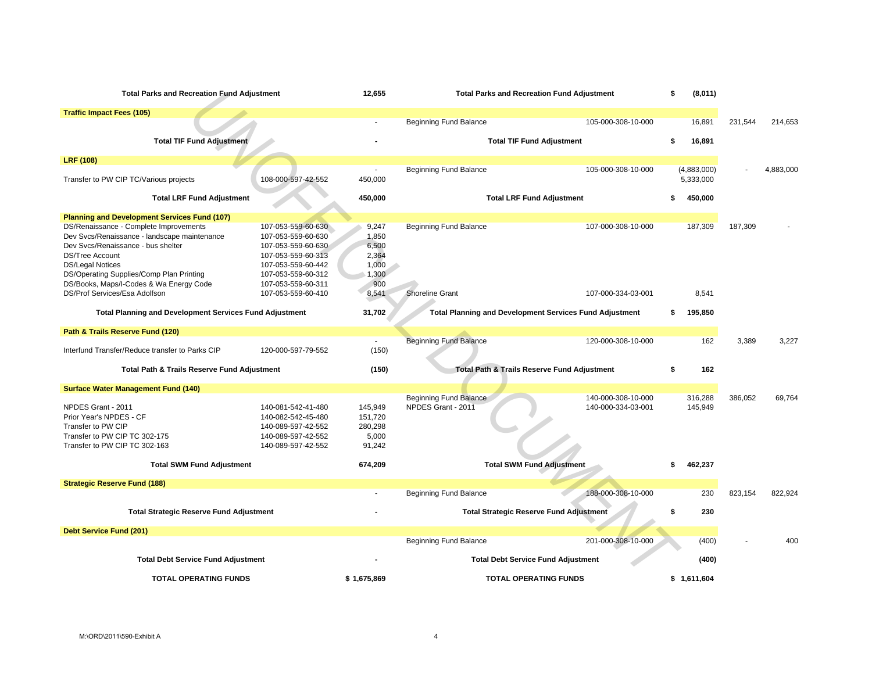| <b>Total Parks and Recreation Fund Adjustment</b>                                      |                                          | 12,655             | <b>Total Parks and Recreation Fund Adjustment</b>              | \$                 | (8,011) |             |         |           |
|----------------------------------------------------------------------------------------|------------------------------------------|--------------------|----------------------------------------------------------------|--------------------|---------|-------------|---------|-----------|
| <b>Traffic Impact Fees (105)</b>                                                       |                                          |                    |                                                                |                    |         |             |         |           |
|                                                                                        |                                          |                    | Beginning Fund Balance                                         | 105-000-308-10-000 |         | 16,891      | 231,544 | 214,653   |
| <b>Total TIF Fund Adjustment</b>                                                       |                                          |                    | <b>Total TIF Fund Adjustment</b>                               |                    | \$.     | 16,891      |         |           |
| <b>LRF (108)</b>                                                                       |                                          |                    |                                                                |                    |         |             |         |           |
|                                                                                        |                                          | $\sim$             | Beginning Fund Balance                                         | 105-000-308-10-000 |         | (4,883,000) |         | 4,883,000 |
| Transfer to PW CIP TC/Various projects                                                 | 108-000-597-42-552                       | 450,000            |                                                                |                    |         | 5,333,000   |         |           |
| <b>Total LRF Fund Adjustment</b>                                                       |                                          | 450,000            | <b>Total LRF Fund Adjustment</b>                               |                    | \$      | 450,000     |         |           |
| <b>Planning and Development Services Fund (107)</b>                                    |                                          |                    |                                                                |                    |         |             |         |           |
| DS/Renaissance - Complete Improvements<br>Dev Svcs/Renaissance - landscape maintenance | 107-053-559-60-630<br>107-053-559-60-630 | 9,247<br>1,850     | <b>Beginning Fund Balance</b>                                  | 107-000-308-10-000 |         | 187,309     | 187,309 |           |
| Dev Svcs/Renaissance - bus shelter                                                     | 107-053-559-60-630                       | 6,500              |                                                                |                    |         |             |         |           |
| <b>DS/Tree Account</b>                                                                 | 107-053-559-60-313                       | 2,364              |                                                                |                    |         |             |         |           |
| <b>DS/Legal Notices</b>                                                                | 107-053-559-60-442                       | 1,000              |                                                                |                    |         |             |         |           |
| DS/Operating Supplies/Comp Plan Printing                                               | 107-053-559-60-312                       | 1,300              |                                                                |                    |         |             |         |           |
| DS/Books, Maps/I-Codes & Wa Energy Code<br>DS/Prof Services/Esa Adolfson               | 107-053-559-60-311<br>107-053-559-60-410 | 900                | <b>Shoreline Grant</b>                                         | 107-000-334-03-001 |         | 8,541       |         |           |
|                                                                                        |                                          | 8,541              |                                                                |                    |         |             |         |           |
| <b>Total Planning and Development Services Fund Adjustment</b>                         |                                          | 31,702             | <b>Total Planning and Development Services Fund Adjustment</b> |                    |         | 195,850     |         |           |
| Path & Trails Reserve Fund (120)                                                       |                                          |                    |                                                                |                    |         |             |         |           |
| Interfund Transfer/Reduce transfer to Parks CIP                                        | 120-000-597-79-552                       | $\sim$<br>(150)    | <b>Beginning Fund Balance</b>                                  | 120-000-308-10-000 |         | 162         | 3,389   | 3,227     |
|                                                                                        |                                          |                    |                                                                |                    |         |             |         |           |
| Total Path & Trails Reserve Fund Adjustment                                            |                                          | (150)              | Total Path & Trails Reserve Fund Adjustment                    |                    | \$      | 162         |         |           |
| <b>Surface Water Management Fund (140)</b>                                             |                                          |                    |                                                                |                    |         |             |         |           |
|                                                                                        |                                          |                    | Beginning Fund Balance                                         | 140-000-308-10-000 |         | 316,288     | 386,052 | 69,764    |
| NPDES Grant - 2011<br>Prior Year's NPDES - CF                                          | 140-081-542-41-480<br>140-082-542-45-480 | 145,949<br>151,720 | NPDES Grant - 2011                                             | 140-000-334-03-001 |         | 145,949     |         |           |
| Transfer to PW CIP                                                                     | 140-089-597-42-552                       | 280,298            |                                                                |                    |         |             |         |           |
| Transfer to PW CIP TC 302-175                                                          | 140-089-597-42-552                       | 5,000              |                                                                |                    |         |             |         |           |
| Transfer to PW CIP TC 302-163                                                          | 140-089-597-42-552                       | 91,242             |                                                                |                    |         |             |         |           |
| <b>Total SWM Fund Adjustment</b>                                                       |                                          | 674,209            | <b>Total SWM Fund Adjustment</b>                               |                    | \$      | 462,237     |         |           |
| <b>Strategic Reserve Fund (188)</b>                                                    |                                          |                    |                                                                |                    |         |             |         |           |
|                                                                                        |                                          |                    | <b>Beginning Fund Balance</b>                                  | 188-000-308-10-000 |         | 230         | 823,154 | 822,924   |
|                                                                                        |                                          |                    |                                                                |                    |         |             |         |           |
| <b>Total Strategic Reserve Fund Adjustment</b>                                         |                                          |                    | <b>Total Strategic Reserve Fund Adjustment</b>                 |                    | \$      | 230         |         |           |
| <b>Debt Service Fund (201)</b>                                                         |                                          |                    |                                                                |                    |         |             |         |           |
|                                                                                        |                                          |                    | <b>Beginning Fund Balance</b>                                  | 201-000-308-10-000 |         | (400)       |         | 400       |
| <b>Total Debt Service Fund Adjustment</b>                                              |                                          |                    | <b>Total Debt Service Fund Adjustment</b>                      |                    |         | (400)       |         |           |
| <b>TOTAL OPERATING FUNDS</b>                                                           |                                          | \$1,675,869        | <b>TOTAL OPERATING FUNDS</b>                                   |                    |         | \$1,611,604 |         |           |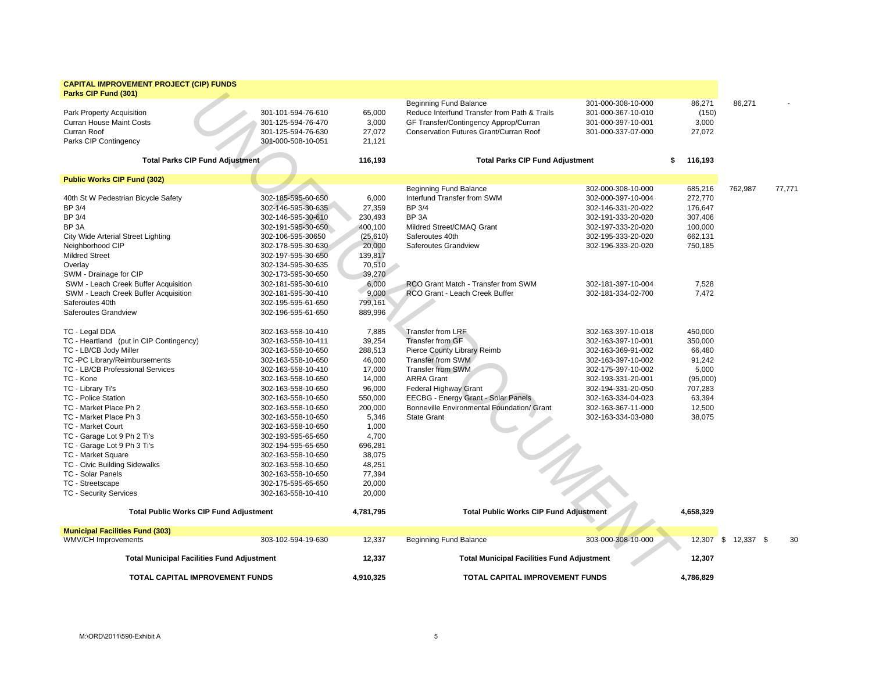| <b>CAPITAL IMPROVEMENT PROJECT (CIP) FUNDS</b><br>Parks CIP Fund (301)                                                                                                                                                                                                                                                                                                                                                                                                  |                                                                                                                                                                                                                                                                                                                                                                                                                                     |                                                                                                                                                                                      |                                                                                                                                                                                                                                                                                                                          |                                                                                                                                                                                                    |                                                                                                        |           |        |
|-------------------------------------------------------------------------------------------------------------------------------------------------------------------------------------------------------------------------------------------------------------------------------------------------------------------------------------------------------------------------------------------------------------------------------------------------------------------------|-------------------------------------------------------------------------------------------------------------------------------------------------------------------------------------------------------------------------------------------------------------------------------------------------------------------------------------------------------------------------------------------------------------------------------------|--------------------------------------------------------------------------------------------------------------------------------------------------------------------------------------|--------------------------------------------------------------------------------------------------------------------------------------------------------------------------------------------------------------------------------------------------------------------------------------------------------------------------|----------------------------------------------------------------------------------------------------------------------------------------------------------------------------------------------------|--------------------------------------------------------------------------------------------------------|-----------|--------|
| Park Property Acquisition<br><b>Curran House Maint Costs</b><br>Curran Roof<br>Parks CIP Contingency                                                                                                                                                                                                                                                                                                                                                                    | 301-101-594-76-610<br>301-125-594-76-470<br>301-125-594-76-630<br>301-000-508-10-051                                                                                                                                                                                                                                                                                                                                                | 65,000<br>3,000<br>27,072<br>21.121                                                                                                                                                  | <b>Beginning Fund Balance</b><br>Reduce Interfund Transfer from Path & Trails<br>GF Transfer/Contingency Approp/Curran<br>Conservation Futures Grant/Curran Roof                                                                                                                                                         | 301-000-308-10-000<br>301-000-367-10-010<br>301-000-397-10-001<br>301-000-337-07-000                                                                                                               | 86,271<br>(150)<br>3,000<br>27,072                                                                     | 86,271    |        |
|                                                                                                                                                                                                                                                                                                                                                                                                                                                                         | <b>Total Parks CIP Fund Adjustment</b>                                                                                                                                                                                                                                                                                                                                                                                              | 116,193                                                                                                                                                                              | <b>Total Parks CIP Fund Adjustment</b>                                                                                                                                                                                                                                                                                   |                                                                                                                                                                                                    | 116,193<br>\$                                                                                          |           |        |
| <b>Public Works CIP Fund (302)</b>                                                                                                                                                                                                                                                                                                                                                                                                                                      |                                                                                                                                                                                                                                                                                                                                                                                                                                     |                                                                                                                                                                                      |                                                                                                                                                                                                                                                                                                                          |                                                                                                                                                                                                    |                                                                                                        |           |        |
| 40th St W Pedestrian Bicycle Safety<br><b>BP 3/4</b><br>BP 3/4<br>BP <sub>3</sub> A<br>City Wide Arterial Street Lighting<br>Neighborhood CIP<br><b>Mildred Street</b><br>Overlay<br>SWM - Drainage for CIP                                                                                                                                                                                                                                                             | 302-185-595-60-650<br>302-146-595-30-635<br>302-146-595-30-610<br>302-191-595-30-650<br>302-106-595-30650<br>302-178-595-30-630<br>302-197-595-30-650<br>302-134-595-30-635<br>302-173-595-30-650                                                                                                                                                                                                                                   | 6,000<br>27,359<br>230,493<br>400,100<br>(25, 610)<br>20,000<br>139,817<br>70,510<br>39,270                                                                                          | <b>Beginning Fund Balance</b><br>Interfund Transfer from SWM<br><b>BP 3/4</b><br>BP <sub>3</sub> A<br>Mildred Street/CMAQ Grant<br>Saferoutes 40th<br>Saferoutes Grandview                                                                                                                                               | 302-000-308-10-000<br>302-000-397-10-004<br>302-146-331-20-022<br>302-191-333-20-020<br>302-197-333-20-020<br>302-195-333-20-020<br>302-196-333-20-020                                             | 685,216<br>272,770<br>176,647<br>307,406<br>100,000<br>662,131<br>750,185                              | 762,987   | 77,771 |
| SWM - Leach Creek Buffer Acquisition                                                                                                                                                                                                                                                                                                                                                                                                                                    | 302-181-595-30-610                                                                                                                                                                                                                                                                                                                                                                                                                  | 6,000                                                                                                                                                                                | RCO Grant Match - Transfer from SWM                                                                                                                                                                                                                                                                                      | 302-181-397-10-004                                                                                                                                                                                 | 7,528                                                                                                  |           |        |
| SWM - Leach Creek Buffer Acquisition<br>Saferoutes 40th<br>Saferoutes Grandview                                                                                                                                                                                                                                                                                                                                                                                         | 302-181-595-30-410<br>302-195-595-61-650<br>302-196-595-61-650                                                                                                                                                                                                                                                                                                                                                                      | 9,000<br>799,161<br>889,996                                                                                                                                                          | RCO Grant - Leach Creek Buffer                                                                                                                                                                                                                                                                                           | 302-181-334-02-700                                                                                                                                                                                 | 7,472                                                                                                  |           |        |
| TC - Legal DDA                                                                                                                                                                                                                                                                                                                                                                                                                                                          | 302-163-558-10-410                                                                                                                                                                                                                                                                                                                                                                                                                  | 7,885                                                                                                                                                                                | Transfer from LRF                                                                                                                                                                                                                                                                                                        | 302-163-397-10-018                                                                                                                                                                                 | 450,000                                                                                                |           |        |
| TC - Heartland (put in CIP Contingency)<br>TC - LB/CB Jody Miller<br>TC -PC Library/Reimbursements<br>TC - LB/CB Professional Services<br>TC - Kone<br>TC - Library Ti's<br>TC - Police Station<br>TC - Market Place Ph 2<br>TC - Market Place Ph 3<br><b>TC - Market Court</b><br>TC - Garage Lot 9 Ph 2 Ti's<br>TC - Garage Lot 9 Ph 3 Ti's<br>TC - Market Square<br>TC - Civic Building Sidewalks<br>TC - Solar Panels<br>TC - Streetscape<br>TC - Security Services | 302-163-558-10-411<br>302-163-558-10-650<br>302-163-558-10-650<br>302-163-558-10-410<br>302-163-558-10-650<br>302-163-558-10-650<br>302-163-558-10-650<br>302-163-558-10-650<br>302-163-558-10-650<br>302-163-558-10-650<br>302-193-595-65-650<br>302-194-595-65-650<br>302-163-558-10-650<br>302-163-558-10-650<br>302-163-558-10-650<br>302-175-595-65-650<br>302-163-558-10-410<br><b>Total Public Works CIP Fund Adjustment</b> | 39,254<br>288,513<br>46,000<br>17,000<br>14,000<br>96,000<br>550,000<br>200,000<br>5,346<br>1,000<br>4,700<br>696,281<br>38,075<br>48,251<br>77,394<br>20,000<br>20,000<br>4,781,795 | <b>Transfer from GF</b><br>Pierce County Library Reimb<br>Transfer from SWM<br><b>Transfer from SWM</b><br><b>ARRA Grant</b><br><b>Federal Highway Grant</b><br>EECBG - Energy Grant - Solar Panels<br>Bonneville Environmental Foundation/ Grant<br><b>State Grant</b><br><b>Total Public Works CIP Fund Adjustment</b> | 302-163-397-10-001<br>302-163-369-91-002<br>302-163-397-10-002<br>302-175-397-10-002<br>302-193-331-20-001<br>302-194-331-20-050<br>302-163-334-04-023<br>302-163-367-11-000<br>302-163-334-03-080 | 350,000<br>66,480<br>91,242<br>5,000<br>(95,000)<br>707,283<br>63,394<br>12,500<br>38,075<br>4,658,329 |           |        |
| <b>Municipal Facilities Fund (303)</b>                                                                                                                                                                                                                                                                                                                                                                                                                                  |                                                                                                                                                                                                                                                                                                                                                                                                                                     |                                                                                                                                                                                      |                                                                                                                                                                                                                                                                                                                          |                                                                                                                                                                                                    |                                                                                                        |           |        |
| WMV/CH Improvements                                                                                                                                                                                                                                                                                                                                                                                                                                                     | 303-102-594-19-630                                                                                                                                                                                                                                                                                                                                                                                                                  | 12,337                                                                                                                                                                               | Beginning Fund Balance                                                                                                                                                                                                                                                                                                   | 303-000-308-10-000                                                                                                                                                                                 | $12,307$ \$                                                                                            | 12,337 \$ | 30     |
|                                                                                                                                                                                                                                                                                                                                                                                                                                                                         | <b>Total Municipal Facilities Fund Adjustment</b>                                                                                                                                                                                                                                                                                                                                                                                   | 12,337                                                                                                                                                                               | <b>Total Municipal Facilities Fund Adjustment</b>                                                                                                                                                                                                                                                                        |                                                                                                                                                                                                    | 12,307                                                                                                 |           |        |
|                                                                                                                                                                                                                                                                                                                                                                                                                                                                         | <b>TOTAL CAPITAL IMPROVEMENT FUNDS</b>                                                                                                                                                                                                                                                                                                                                                                                              | 4.910.325                                                                                                                                                                            | <b>TOTAL CAPITAL IMPROVEMENT FUNDS</b>                                                                                                                                                                                                                                                                                   |                                                                                                                                                                                                    | 4.786.829                                                                                              |           |        |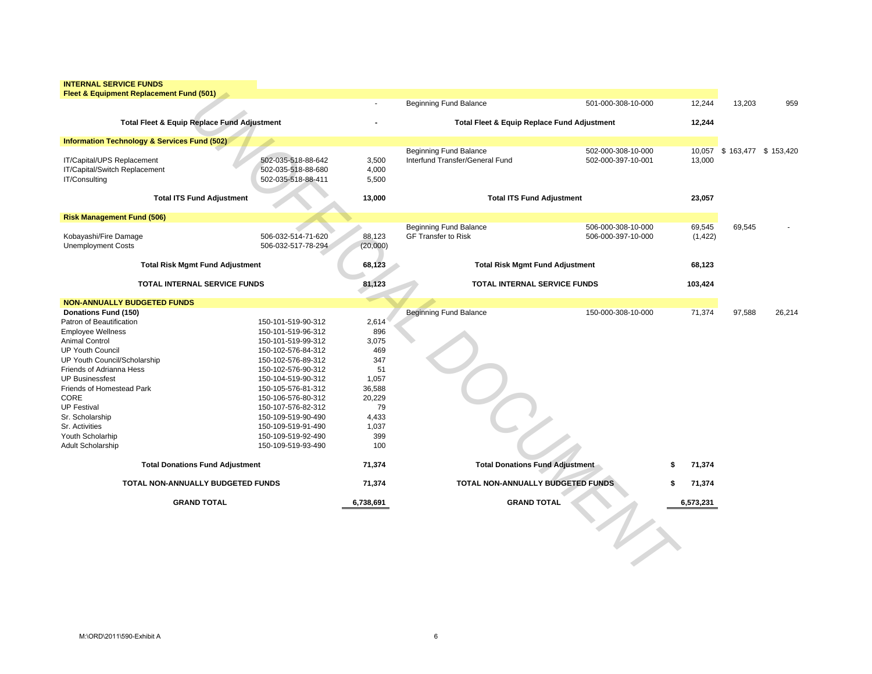| <b>INTERNAL SERVICE FUNDS</b>                       |  |
|-----------------------------------------------------|--|
| <b>Fleet &amp; Equipment Replacement Fund (501)</b> |  |
|                                                     |  |
|                                                     |  |

| Fleet & Equipment Replacement Fund (501)                                     |                                                                |                         |                                                                  |                                          |                    |                              |        |
|------------------------------------------------------------------------------|----------------------------------------------------------------|-------------------------|------------------------------------------------------------------|------------------------------------------|--------------------|------------------------------|--------|
|                                                                              |                                                                |                         | <b>Beginning Fund Balance</b>                                    | 501-000-308-10-000                       | 12,244             | 13,203                       | 959    |
| <b>Total Fleet &amp; Equip Replace Fund Adjustment</b>                       |                                                                |                         | <b>Total Fleet &amp; Equip Replace Fund Adjustment</b>           |                                          | 12,244             |                              |        |
| <b>Information Technology &amp; Services Fund (502)</b>                      |                                                                |                         |                                                                  |                                          |                    |                              |        |
| IT/Capital/UPS Replacement<br>IT/Capital/Switch Replacement<br>IT/Consulting | 502-035-518-88-642<br>502-035-518-88-680<br>502-035-518-88-411 | 3,500<br>4,000<br>5,500 | <b>Beginning Fund Balance</b><br>Interfund Transfer/General Fund | 502-000-308-10-000<br>502-000-397-10-001 | 13,000             | 10,057 \$ 163,477 \$ 153,420 |        |
| <b>Total ITS Fund Adjustment</b>                                             |                                                                | 13,000                  | <b>Total ITS Fund Adjustment</b>                                 |                                          | 23,057             |                              |        |
| <b>Risk Management Fund (506)</b>                                            |                                                                |                         |                                                                  |                                          |                    |                              |        |
| Kobayashi/Fire Damage<br><b>Unemployment Costs</b>                           | 506-032-514-71-620<br>506-032-517-78-294                       | 88,123<br>(20,000)      | <b>Beginning Fund Balance</b><br><b>GF Transfer to Risk</b>      | 506-000-308-10-000<br>506-000-397-10-000 | 69,545<br>(1, 422) | 69,545                       |        |
| <b>Total Risk Mgmt Fund Adjustment</b>                                       |                                                                | 68,123                  | <b>Total Risk Mgmt Fund Adjustment</b>                           |                                          | 68,123             |                              |        |
| <b>TOTAL INTERNAL SERVICE FUNDS</b>                                          |                                                                | 81,123                  | TOTAL INTERNAL SERVICE FUNDS                                     |                                          | 103,424            |                              |        |
| <b>NON-ANNUALLY BUDGETED FUNDS</b>                                           |                                                                |                         |                                                                  |                                          |                    |                              |        |
| Donations Fund (150)                                                         |                                                                |                         | <b>Beginning Fund Balance</b>                                    | 150-000-308-10-000                       | 71,374             | 97,588                       | 26,214 |
| Patron of Beautification                                                     | 150-101-519-90-312                                             | 2,614                   |                                                                  |                                          |                    |                              |        |
| <b>Employee Wellness</b>                                                     | 150-101-519-96-312                                             | 896                     |                                                                  |                                          |                    |                              |        |
| <b>Animal Control</b>                                                        | 150-101-519-99-312                                             | 3,075                   |                                                                  |                                          |                    |                              |        |
| <b>UP Youth Council</b>                                                      | 150-102-576-84-312                                             | 469                     |                                                                  |                                          |                    |                              |        |
| UP Youth Council/Scholarship                                                 | 150-102-576-89-312                                             | 347                     |                                                                  |                                          |                    |                              |        |
| Friends of Adrianna Hess                                                     | 150-102-576-90-312                                             | 51                      |                                                                  |                                          |                    |                              |        |
| <b>UP Businessfest</b>                                                       | 150-104-519-90-312                                             | 1,057                   |                                                                  |                                          |                    |                              |        |
| Friends of Homestead Park                                                    | 150-105-576-81-312                                             | 36,588                  |                                                                  |                                          |                    |                              |        |
| CORE                                                                         | 150-106-576-80-312                                             | 20,229                  |                                                                  |                                          |                    |                              |        |
| <b>UP Festival</b>                                                           | 150-107-576-82-312                                             | 79                      |                                                                  |                                          |                    |                              |        |
| Sr. Scholarship                                                              | 150-109-519-90-490                                             | 4,433                   |                                                                  |                                          |                    |                              |        |
| Sr. Activities                                                               | 150-109-519-91-490                                             | 1,037                   |                                                                  |                                          |                    |                              |        |
| Youth Scholarhip                                                             | 150-109-519-92-490                                             | 399                     |                                                                  |                                          |                    |                              |        |
| <b>Adult Scholarship</b>                                                     | 150-109-519-93-490                                             | 100                     |                                                                  |                                          |                    |                              |        |
| <b>Total Donations Fund Adjustment</b>                                       |                                                                | 71,374                  | Total Donations Fund Adjustment                                  |                                          | 71,374             |                              |        |
| TOTAL NON-ANNUALLY BUDGETED FUNDS                                            |                                                                | 71,374                  | TOTAL NON-ANNUALLY BUDGETED FUNDS                                |                                          | 71,374             |                              |        |
| <b>GRAND TOTAL</b>                                                           |                                                                | 6,738,691               | <b>GRAND TOTAL</b>                                               |                                          | 6,573,231          |                              |        |
|                                                                              |                                                                |                         |                                                                  |                                          |                    |                              |        |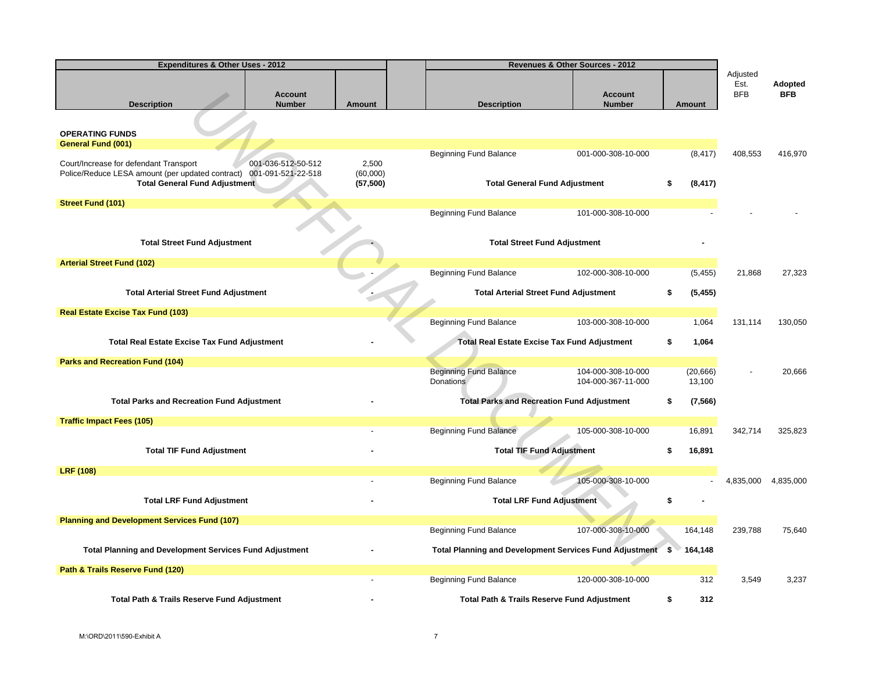| <b>Expenditures &amp; Other Uses - 2012</b>                                                                                                           |                                 |                                | Revenues & Other Sources - 2012                   |                                                            |        |                     |                                |                       |  |
|-------------------------------------------------------------------------------------------------------------------------------------------------------|---------------------------------|--------------------------------|---------------------------------------------------|------------------------------------------------------------|--------|---------------------|--------------------------------|-----------------------|--|
| <b>Description</b>                                                                                                                                    | <b>Account</b><br><b>Number</b> | Amount                         | <b>Description</b>                                | <b>Account</b><br><b>Number</b>                            | Amount |                     | Adjusted<br>Est.<br><b>BFB</b> | Adopted<br><b>BFB</b> |  |
|                                                                                                                                                       |                                 |                                |                                                   |                                                            |        |                     |                                |                       |  |
| <b>OPERATING FUNDS</b><br><b>General Fund (001)</b>                                                                                                   |                                 |                                |                                                   |                                                            |        |                     |                                |                       |  |
|                                                                                                                                                       |                                 |                                | <b>Beginning Fund Balance</b>                     | 001-000-308-10-000                                         |        | (8, 417)            | 408,553                        | 416,970               |  |
| Court/Increase for defendant Transport<br>Police/Reduce LESA amount (per updated contract) 001-091-521-22-518<br><b>Total General Fund Adjustment</b> | 001-036-512-50-512              | 2,500<br>(60,000)<br>(57, 500) |                                                   | <b>Total General Fund Adjustment</b>                       | \$     | (8, 417)            |                                |                       |  |
|                                                                                                                                                       |                                 |                                |                                                   |                                                            |        |                     |                                |                       |  |
| <b>Street Fund (101)</b>                                                                                                                              |                                 |                                | Beginning Fund Balance                            | 101-000-308-10-000                                         |        |                     |                                |                       |  |
|                                                                                                                                                       |                                 |                                |                                                   |                                                            |        |                     |                                |                       |  |
| <b>Total Street Fund Adjustment</b>                                                                                                                   |                                 |                                |                                                   | <b>Total Street Fund Adjustment</b>                        |        |                     |                                |                       |  |
| <b>Arterial Street Fund (102)</b>                                                                                                                     |                                 |                                |                                                   |                                                            |        |                     |                                |                       |  |
|                                                                                                                                                       |                                 |                                | <b>Beginning Fund Balance</b>                     | 102-000-308-10-000                                         |        | (5, 455)            | 21,868                         | 27,323                |  |
| <b>Total Arterial Street Fund Adjustment</b>                                                                                                          |                                 |                                |                                                   | <b>Total Arterial Street Fund Adjustment</b>               | \$     | (5, 455)            |                                |                       |  |
| <b>Real Estate Excise Tax Fund (103)</b>                                                                                                              |                                 |                                |                                                   |                                                            |        |                     |                                |                       |  |
|                                                                                                                                                       |                                 |                                | <b>Beginning Fund Balance</b>                     | 103-000-308-10-000                                         |        | 1,064               | 131,114                        | 130,050               |  |
| <b>Total Real Estate Excise Tax Fund Adjustment</b>                                                                                                   |                                 |                                |                                                   | <b>Total Real Estate Excise Tax Fund Adjustment</b>        | \$     | 1,064               |                                |                       |  |
| Parks and Recreation Fund (104)                                                                                                                       |                                 |                                |                                                   |                                                            |        |                     |                                |                       |  |
|                                                                                                                                                       |                                 |                                | <b>Beginning Fund Balance</b><br><b>Donations</b> | 104-000-308-10-000<br>104-000-367-11-000                   |        | (20, 666)<br>13,100 |                                | 20,666                |  |
| <b>Total Parks and Recreation Fund Adjustment</b>                                                                                                     |                                 |                                |                                                   | <b>Total Parks and Recreation Fund Adjustment</b>          | \$     | (7, 566)            |                                |                       |  |
| <b>Traffic Impact Fees (105)</b>                                                                                                                      |                                 |                                |                                                   |                                                            |        |                     |                                |                       |  |
|                                                                                                                                                       |                                 |                                | <b>Beginning Fund Balance</b>                     | 105-000-308-10-000                                         |        | 16,891              | 342,714                        | 325,823               |  |
| <b>Total TIF Fund Adjustment</b>                                                                                                                      |                                 |                                |                                                   | <b>Total TIF Fund Adjustment</b>                           | \$     | 16,891              |                                |                       |  |
| <b>LRF (108)</b>                                                                                                                                      |                                 |                                |                                                   |                                                            |        |                     |                                |                       |  |
|                                                                                                                                                       |                                 |                                | <b>Beginning Fund Balance</b>                     | 105-000-308-10-000                                         |        |                     | 4,835,000                      | 4,835,000             |  |
| <b>Total LRF Fund Adjustment</b>                                                                                                                      |                                 |                                |                                                   | <b>Total LRF Fund Adjustment</b>                           |        |                     |                                |                       |  |
| <b>Planning and Development Services Fund (107)</b>                                                                                                   |                                 |                                | <b>Beginning Fund Balance</b>                     | 107-000-308-10-000                                         |        | 164,148             | 239,788                        | 75,640                |  |
| <b>Total Planning and Development Services Fund Adjustment</b>                                                                                        |                                 |                                |                                                   | Total Planning and Development Services Fund Adjustment \$ |        | 164,148             |                                |                       |  |
|                                                                                                                                                       |                                 |                                |                                                   |                                                            |        |                     |                                |                       |  |
| Path & Trails Reserve Fund (120)                                                                                                                      |                                 |                                | <b>Beginning Fund Balance</b>                     | 120-000-308-10-000                                         |        | 312                 | 3,549                          | 3,237                 |  |
| <b>Total Path &amp; Trails Reserve Fund Adjustment</b>                                                                                                |                                 |                                |                                                   | <b>Total Path &amp; Trails Reserve Fund Adjustment</b>     | \$     | 312                 |                                |                       |  |